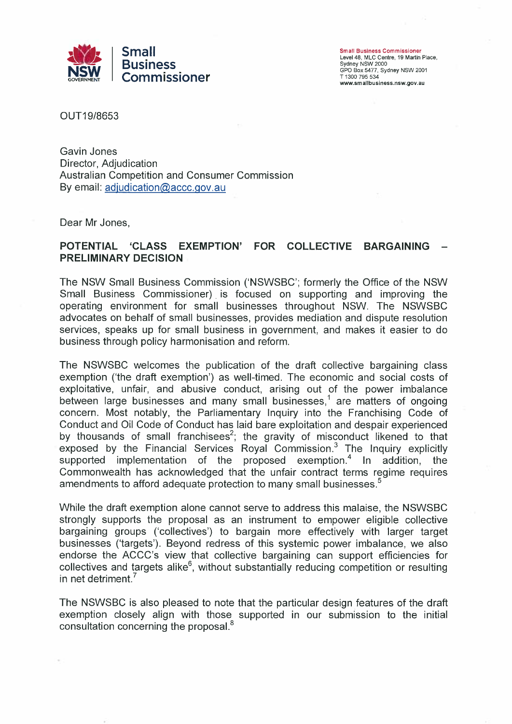

Small Business Commissioner Level 48, MLC Centre, 19 Martin Place, Sydney NSW 2000 GPO Box 5477, Sydney NSW 2001 T 1300 795 534 www.smallbusiness.nsw.gov.au

OUT19/8653

Gavin Jones Director, Adjudication Australian Competition and Consumer Commission By email:  $adiudication@accc.gov.au$ 

Dear Mr Jones,

## **POTENTIAL 'CLASS EXEMPTION' FOR COLLECTIVE BARGAINING — PRELIMINARY DECISION**

The NSW Small Business Commission ('NSWSBC'; formerly the Office of the NSW Small Business Commissioner) is focused on supporting and improving the operating environment for small businesses throughout NSW. The NSWSBC advocates on behalf of small businesses, provides mediation and dispute resolution services, speaks up for small business in government, and makes it easier to do business through policy harmonisation and reform.

The NSWSBC welcomes the publication of the draft collective bargaining class exemption ('the draft exemption') as well-timed. The economic and social costs of exploitative, unfair, and abusive conduct, arising out of the power imbalance between large businesses and many small businesses,<sup>1</sup> are matters of ongoing concern. Most notably, the Parliamentary Inquiry into the Franchising Code of Conduct and Oil Code of Conduct has laid bare exploitation and despair experienced by thousands of small franchisees<sup>2</sup>; the gravity of misconduct likened to that exposed by the Financial Services Royal Commission.<sup>3</sup> The Inquiry explicitly supported implementation of the proposed exemption.<sup>4</sup> In addition, the Commonwealth has acknowledged that the unfair contract terms regime requires amendments to afford adequate protection to many small businesses.<sup>5</sup>

While the draft exemption alone cannot serve to address this malaise, the NSWSBC strongly supports the proposal as an instrument to empower eligible collective bargaining groups ('collectives') to bargain more effectively with larger target businesses ('targets'). Beyond redress of this systemic power imbalance, we also endorse the ACCC's view that collective bargaining can support efficiencies for collectives and targets alike<sup>6</sup>, without substantially reducing competition or resulting in net detriment.<sup>7</sup>

The NSWSBC is also pleased to note that the particular design features of the draft exemption closely align with those supported in our submission to the initial consultation concerning the proposal.<sup>8</sup>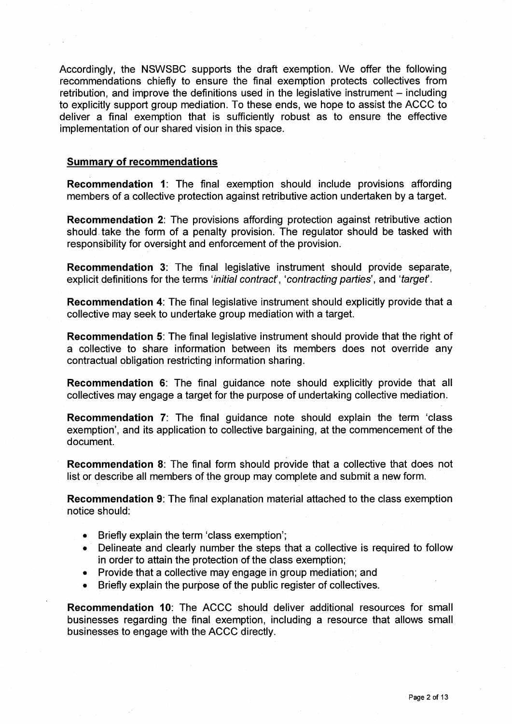Accordingly, the NSWSBC supports the draft exemption. We offer the following recommendations chiefly to ensure the final exemption protects collectives from retribution, and improve the definitions used in the legislative instrument — including to explicitly support group mediation. To these ends, we hope to assist the ACCC to deliver a final exemption that is sufficiently robust as to ensure the effective implementation of our shared vision in this space.

## **Summary of recommendations**

**Recommendation 1:** The final exemption should include provisions affording members of a collective protection against retributive action undertaken by a target.

**Recommendation 2:** The provisions affording protection against retributive action should take the form of a penalty provision. The regulator should be tasked with responsibility for oversight and enforcement of the provision.

**Recommendation 3:** The final legislative instrument should provide separate, explicit definitions for the terms 'initial contract', 'contracting parties', and 'target'.

**Recommendation 4:** The final legislative instrument should explicitly provide that a collective may seek to undertake group mediation with a target.

**Recommendation 5:** The final legislative instrument should provide that the right of a collective to share information between its members does not override any contractual obligation restricting information sharing.

**Recommendation 6:** The final guidance note should explicitly provide that all collectives may engage a target for the purpose of undertaking collective mediation.

**Recommendation 7:** The final guidance note should explain the term 'class exemption', and its application to collective bargaining, at the commencement of the document.

**Recommendation 8:** The final form should provide that a collective that does not list or describe all members of the group may complete and submit a new form.

**Recommendation 9:** The final explanation material attached to the class exemption notice should:

- Briefly explain the term 'class exemption';
- Delineate and clearly number the steps that a collective is required to follow in order to attain the protection of the class exemption;
- Provide that a collective may engage in group mediation; and
- Briefly explain the purpose of the public register of collectives.

**Recommendation 10:** The ACCC should deliver additional resources for small businesses regarding the final exemption, including a resource that allows small businesses to engage with the ACCC directly.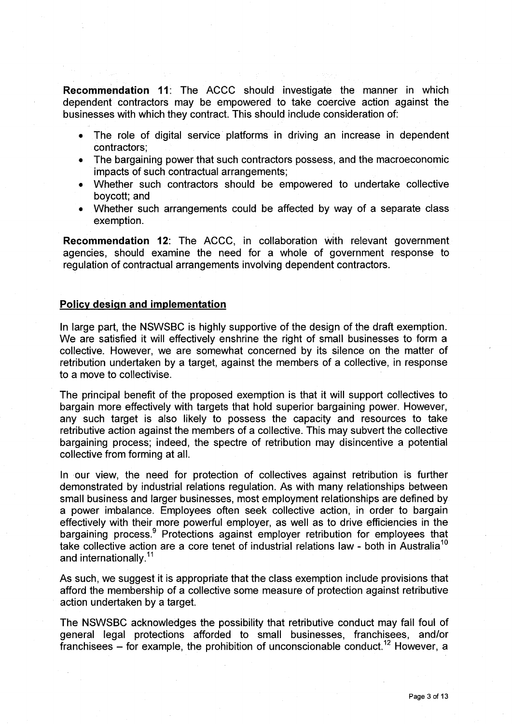**Recommendation 11:** The ACCC should investigate the manner in which dependent contractors may be empowered to take coercive action against the businesses with which they contract. This should include consideration of:

- The role of digital service platforms in driving an increase in dependent contractors;
- The bargaining power that such contractors possess, and the macroeconomic impacts of such contractual arrangements;
- Whether such contractors should be empowered to undertake collective boycott; and
- Whether such arrangements could be affected by way of a separate class exemption.

**Recommendation 12:** The ACCC, in collaboration with relevant government agencies, should examine the need for a whole of government response to regulation of contractual arrangements involving dependent contractors.

### **Policy design and implementation**

In large part, the NSWSBC is highly supportive of the design of the draft exemption. We are satisfied it will effectively enshrine the right of small businesses to form a collective. However, we are somewhat concerned by its silence on the matter of retribution undertaken by a target, against the members of a collective, in response to a move to collectivise.

The principal benefit of the proposed exemption is that it will support collectives to bargain more effectively with targets that hold superior bargaining power. However, any such target is also likely to possess the capacity and resources to take retributive action against the members of a collective. This may subvert the collective bargaining process; indeed, the spectre of retribution may disincentive a potential collective from forming at all.

In our view, the need for protection of collectives against retribution is further demonstrated by industrial relations regulation. As with many relationships between small business and larger businesses, most employment relationships are defined by a power imbalance. Employees often seek collective action, in order to bargain effectively with their more powerful employer, as well as to drive efficiencies in the bargaining process.<sup>9</sup> Protections against employer retribution for employees that take collective action are a core tenet of industrial relations law - both in Australia<sup>10</sup> and internationally.<sup>11</sup>

As such, we suggest it is appropriate that the class exemption include provisions that afford the membership of a collective some measure of protection against retributive action undertaken by a target.

The NSWSBC acknowledges the possibility that retributive conduct may fall foul of general legal protections afforded to small businesses, franchisees, and/or franchisees – for example, the prohibition of unconscionable conduct.<sup>12</sup> However, a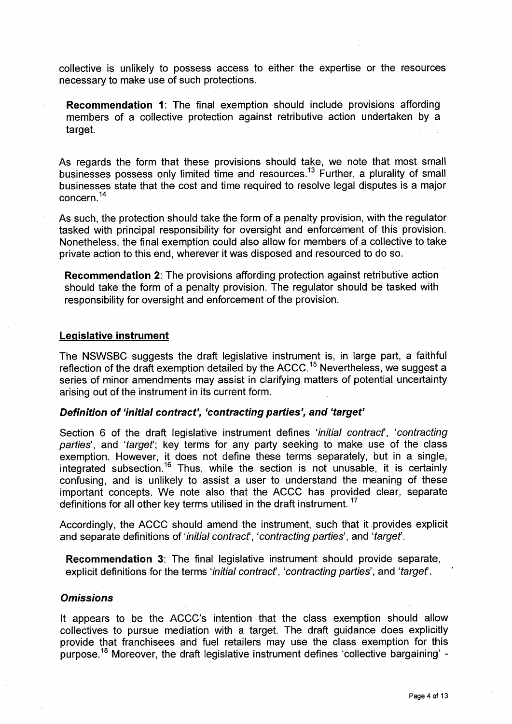collective is unlikely to possess access to either the expertise or the resources necessary to make use of such protections.

**Recommendation 1:** The final exemption should include provisions affording members of a collective protection against retributive action undertaken by a target.

As regards the form that these provisions should take, we note that most small businesses possess only limited time and resources.<sup>13</sup> Further, a plurality of small businesses state that the cost and time required to resolve legal disputes is a major concern.14

As such, the protection should take the form of a penalty provision, with the regulator tasked with principal responsibility for oversight and enforcement of this provision. Nonetheless, the final exemption could also allow for members of a collective to take private action to this end, wherever it was disposed and resourced to do so.

**Recommendation 2:** The provisions affording protection against retributive action should take the form of a penalty provision. The regulator should be tasked with responsibility for oversight and enforcement of the provision.

#### **Legislative instrument**

The NSWSBC suggests the draft legislative instrument is, in large part, a faithful reflection of the draft exemption detailed by the  $ACCC$ .<sup>15</sup> Nevertheless, we suggest a series of minor amendments may assist in clarifying matters of potential uncertainty arising out of the instrument in its current form.

### **Definition of 'initial contract', 'contracting parties', and 'target'**

Section 6 of the draft legislative instrument defines 'initial contract', 'contracting parties', and 'target'; key terms for any party seeking to make use of the class exemption. However, it does not define these terms separately, but in a single, integrated subsection.<sup>16</sup> Thus, while the section is not unusable, it is certainly confusing, and is unlikely to assist a user to understand the meaning of these important concepts. We note also that the ACCC has provided clear, separate definitions for all other key terms utilised in the draft instrument.<sup>17</sup>

Accordingly, the ACCC should amend the instrument, such that it provides explicit and separate definitions of 'initial contract', 'contracting parties', and 'target'.

**Recommendation 3:** The final legislative instrument should provide separate, explicit definitions for the terms 'initial contract', 'contracting parties', and 'target'.

## **Omissions**

It appears to be the ACCC's intention that the class exemption should allow collectives to pursue mediation with a target. The draft guidance does explicitly provide that franchisees and fuel retailers may use the class exemption for this purpose.<sup>18</sup> Moreover, the draft legislative instrument defines 'collective bargaining' -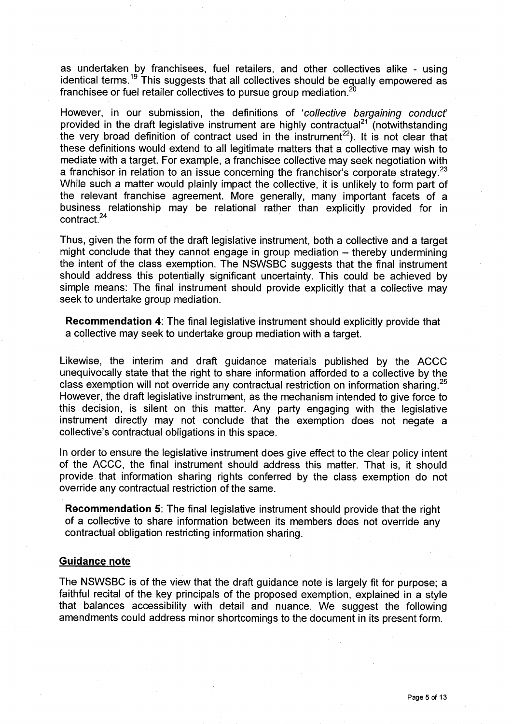as undertaken by franchisees, fuel retailers, and other collectives alike - using identical terms.<sup>19</sup> This suggests that all collectives should be equally empowered as franchisee or fuel retailer collectives to pursue group mediation.<sup>20</sup>

However, in our submission, the definitions of 'collective bargaining conduct' provided in the draft legislative instrument are highly contractual<sup>21</sup> (notwithstanding the very broad definition of contract used in the instrument<sup>22</sup>). It is not clear that these definitions would extend to all legitimate matters that a collective may wish to mediate with a target. For example, a franchisee collective may seek negotiation with a franchisor in relation to an issue concerning the franchisor's corporate strategy.<sup>23</sup> While such a matter would plainly impact the collective, it is unlikely to form part of the relevant franchise agreement. More generally, many important facets of a business relationship may be relational rather than explicitly provided for in contract.24

Thus, given the form of the draft legislative instrument, both a collective and a target might conclude that they cannot engage in group mediation — thereby undermining the intent of the class exemption. The NSWSBC suggests that the final instrument should address this potentially significant uncertainty. This could be achieved by simple means: The final instrument should provide explicitly that a collective may seek to undertake group mediation.

**Recommendation 4:** The final legislative instrument should explicitly provide that a collective may seek to undertake group mediation with a target.

Likewise, the interim and draft guidance materials published by the ACCC unequivocally state that the right to share information afforded to a collective by the class exemption will not override any contractual restriction on information sharing.<sup>25</sup> However, the draft legislative instrument, as the mechanism intended to give force to this decision, is silent on this matter. Any party engaging with the legislative instrument directly may not conclude that the exemption does not negate a collective's contractual obligations in this space.

In order to ensure the legislative instrument does give effect to the clear policy intent of the ACCC, the final instrument should address this matter. That is, it should provide that information sharing rights conferred by the class exemption do not override any contractual restriction of the same.

**Recommendation 5:** The final legislative instrument should provide that the right of a collective to share information between its members does not override any contractual obligation restricting information sharing.

## **Guidance note**

The NSWSBC is of the view that the draft guidance note is largely fit for purpose; a faithful recital of the key principals of the proposed exemption, explained in a style that balances accessibility with detail and nuance. We suggest the following amendments could address minor shortcomings to the document in its present form.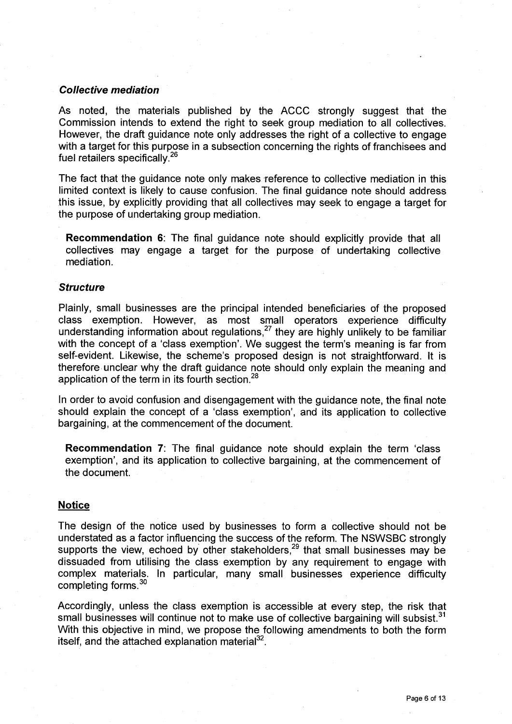#### **Collective mediation**

As noted, the materials published by the ACCC strongly suggest that the Commission intends to extend the right to seek group mediation to all collectives. However, the draft guidance note only addresses the right of a collective to engage with a target for this purpose in a subsection concerning the rights of franchisees and fuel retailers specifically.<sup>26</sup>

The fact that the guidance note only makes reference to collective mediation in this limited context is likely to cause confusion. The final guidance note should address this issue, by explicitly providing that all collectives may seek to engage a target for the purpose of undertaking group mediation.

**Recommendation 6:** The final guidance note should explicitly provide that all collectives may engage a target for the purpose of undertaking collective mediation.

#### **Structure**

Plainly, small businesses are the principal intended beneficiaries of the proposed class exemption. However, as most small operators experience difficulty understanding information about regulations, $^{27}$  they are highly unlikely to be familiar with the concept of a 'class exemption'. We suggest the term's meaning is far from self-evident. Likewise, the scheme's proposed design is not straightforward. It is therefore unclear why the draft guidance note should only explain the meaning and application of the term in its fourth section.<sup>28</sup>

In order to avoid confusion and disengagement with the guidance note, the final note should explain the concept of a 'class exemption', and its application to collective bargaining, at the commencement of the document.

**Recommendation 7:** The final guidance note should explain the term 'class exemption', and its application to collective bargaining, at the commencement of the document.

#### **Notice**

The design of the notice used by businesses to form a collective should not be understated as a factor influencing the success of the reform. The NSWSBC strongly supports the view, echoed by other stakeholders,  $29$  that small businesses may be dissuaded from utilising the class exemption by any requirement to engage with complex materials. In particular, many small businesses experience difficulty completing forms.<sup>30</sup>

Accordingly, unless the class exemption is accessible at every step, the risk that small businesses will continue not to make use of collective bargaining will subsist.<sup>31</sup> With this objective in mind, we propose the following amendments to both the form itself, and the attached explanation material $^{32}$ .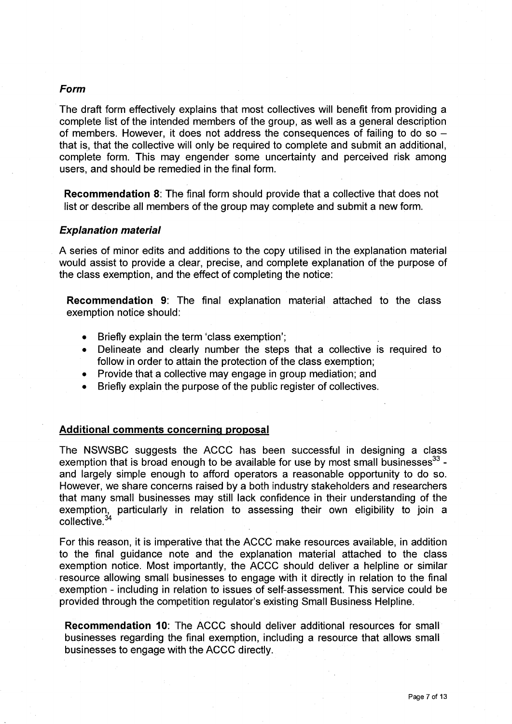## **Form**

The draft form effectively explains that most collectives will benefit from providing a complete list of the intended members of the group, as well as a general description of members. However, it does not address the consequences of failing to do so that is, that the collective will only be required to complete and submit an additional, complete form. This may engender some uncertainty and perceived risk among users, and should be remedied in the final form.

**Recommendation 8:** The final form should provide that a collective that does not list or describe all members of the group may complete and submit a new form.

## **Explanation material**

A series of minor edits and additions to the copy utilised in the explanation material would assist to provide a clear, precise, and complete explanation of the purpose of the class exemption, and the effect of completing the notice:

**Recommendation 9:** The final explanation material attached to the class exemption notice should:

- Briefly explain the term 'class exemption';
- Delineate and clearly number the steps that a collective is required to follow in order to attain the protection of the class exemption;
- Provide that a collective may engage in group mediation; and
- Briefly explain the purpose of the public register of collectives.

### **Additional comments concerning proposal**

The NSWSBC suggests the ACCC has been successful in designing a class exemption that is broad enough to be available for use by most small businesses  $33 - 1$ and largely simple enough to afford operators a reasonable opportunity to do so. However, we share concerns raised by a both industry stakeholders and researchers that many small businesses may still lack confidence in their understanding of the exemption, particularly in relation to assessing their own eligibility to join a collective.<sup>34</sup>

For this reason, it is imperative that the ACCC make resources available, in addition to the final guidance note and the explanation material attached to the class exemption notice. Most importantly, the ACCC should deliver a helpline or similar resource allowing small businesses to engage with it directly in relation to the final exemption - including in relation to issues of self-assessment. This service could be provided through the competition regulator's existing Small Business Helpline.

**Recommendation 10:** The ACCC should deliver additional resources for small businesses regarding the final exemption, including a resource that allows small businesses to engage with the ACCC directly.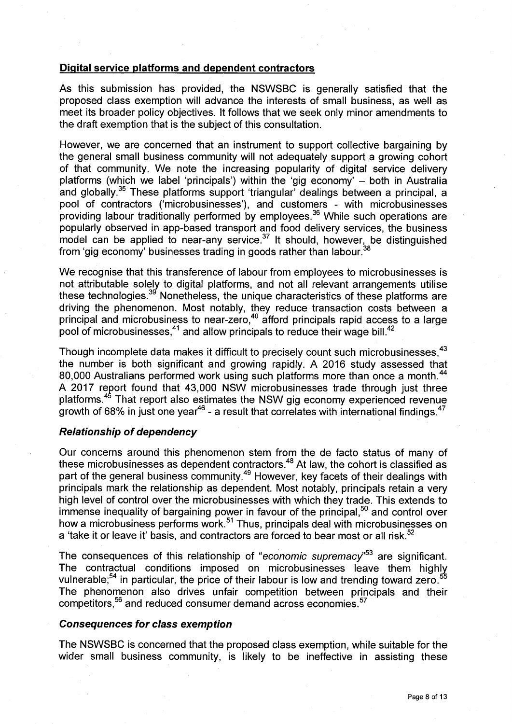## **Digital service platforms and dependent contractors**

As this submission has provided, the NSWSBC is generally satisfied that the proposed class exemption will advance the interests of small business, as well as meet its broader policy objectives. It follows that we seek only minor amendments to the draft exemption that is the subject of this consultation.

However, we are concerned that an instrument to support collective bargaining by the general small business community will not adequately support a growing cohort of that community. We note the increasing popularity of digital service delivery platforms (which we label 'principals') within the 'gig economy' — both in Australia and globally.<sup>35</sup> These platforms support 'triangular' dealings between a principal, a pool of contractors ('microbusinesses'), and customers - with microbusinesses providing labour traditionally performed by employees.<sup>36</sup> While such operations are popularly observed in app-based transport and food delivery services, the business  $\frac{1}{2}$  model can be applied to near-any service.<sup>37</sup> It should, however, be distinguished from 'gig economy' businesses trading in goods rather than labour.

We recognise that this transference of labour from employees to microbusinesses is not attributable solely to digital platforms, and not all relevant arrangements utilise these technologies.<sup>39</sup> Nonetheless, the unique characteristics of these platforms are driving the phenomenon. Most notably, they reduce transaction costs between a principal and microbusiness to near-zero,<sup>40</sup> afford principals rapid access to a large pool of microbusinesses,<sup>41</sup> and allow principals to reduce their wage bill.<sup>42</sup>

Though incomplete data makes it difficult to precisely count such microbusinesses.<sup>43</sup> the number is both significant and growing rapidly. A 2016 study assessed that 80,000 Australians performed work using such platforms more than once a month.<sup>44</sup> A 2017 report found that 43,000 NSW microbusinesses trade through just three platforms.<sup>45</sup> That report also estimates the NSW gig economy experienced revenue growth of 68% in just one year<sup>46</sup> - a result that correlates with international findings.<sup>47</sup>

# **Relationship of dependency**

Our concerns around this phenomenon stem from the de facto status of many of these microbusinesses as dependent contractors.49At law, the cohort is classified as part of the general business community.<sup>49</sup> However, key facets of their dealings with principals mark the relationship as dependent. Most notably, principals retain a very high level of control over the microbusinesses with which they trade. This extends to immense inequality of bargaining power in favour of the principal, $50$  and control over how a microbusiness performs work.<sup>51</sup> Thus, principals deal with microbusinesses on a 'take it or leave it' basis, and contractors are forced to bear most or all risk.<sup>52</sup>

The consequences of this relationship of "economic supremacy"<sup>53</sup> are significant. The contractual conditions imposed on microbusinesses leave them highly vulnerable;<sup>54</sup> in particular, the price of their labour is low and trending toward zero.<sup>5</sup> The phenomenon also drives unfair competition between principals and their competitors,<sup>56</sup> and reduced consumer demand across economies.<sup>57</sup>

#### **Consequences for class exemption**

The NSWSBC is concerned that the proposed class exemption, while suitable for the wider small business community, is likely to be ineffective in assisting these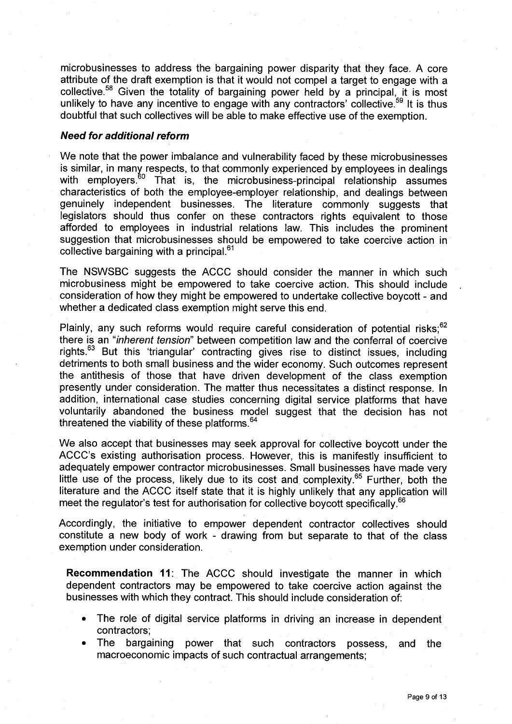microbusinesses to address the bargaining power disparity that they face. A core attribute of the draft exemption is that it would not compel a target to engage with a collective.<sup>58</sup> Given the totality of bargaining power held by a principal, it is most unlikely to have any incentive to engage with any contractors' collective.<sup>59</sup> It is thus doubtful that such collectives will be able to make effective use of the exemption.

### **Need for additional reform**

We note that the power imbalance and vulnerability faced by these microbusinesses is similar, in many respects, to that commonly experienced by employees in dealings with employers.<sup>60</sup> That is, the microbusiness-principal relationship assumes characteristics of both the employee-employer relationship, and dealings between genuinely independent businesses. The literature commonly suggests that legislators should thus confer on these contractors rights equivalent to those afforded to employees in industrial relations law. This includes the prominent suggestion that microbusinesses should be empowered to take coercive action in collective bargaining with a principal.<sup>61</sup>

The NSWSBC suggests the ACCC should consider the manner in which such microbusiness might be empowered to take coercive action. This should include consideration of how they might be empowered to undertake collective boycott - and whether a dedicated class exemption might serve this end.

Plainly, any such reforms would require careful consideration of potential risks;<sup>62</sup> there is an "inherent tension" between competition law and the conferral of coercive rights.<sup>63</sup> But this 'triangular' contracting gives rise to distinct issues, including detriments to both small business and the wider economy. Such outcomes represent the antithesis of those that have driven development of the class exemption presently under consideration. The matter thus necessitates a distinct response. In addition, international case studies concerning digital service platforms that have voluntarily abandoned the business model suggest that the decision has not threatened the viability of these platforms.<sup>64</sup>

We also accept that businesses may seek approval for collective boycott under the ACCC's existing authorisation process. However, this is manifestly insufficient to adequately empower contractor microbusinesses. Small businesses have made very little use of the process, likely due to its cost and complexity.<sup>65</sup> Further, both the literature and the ACCC itself state that it is highly unlikely that any application will meet the regulator's test for authorisation for collective boycott specifically.<sup>66</sup>

Accordingly, the initiative to empower dependent contractor collectives should constitute a new body of work - drawing from but separate to that of the class exemption under consideration.

**Recommendation 11:** The ACCC should investigate the manner in which dependent contractors may be empowered to take coercive action against the businesses with which they contract. This should include consideration of:

- The role of digital service platforms in driving an increase in dependent contractors;
- The bargaining power that such contractors possess, and the macroeconomic impacts of such contractual arrangements;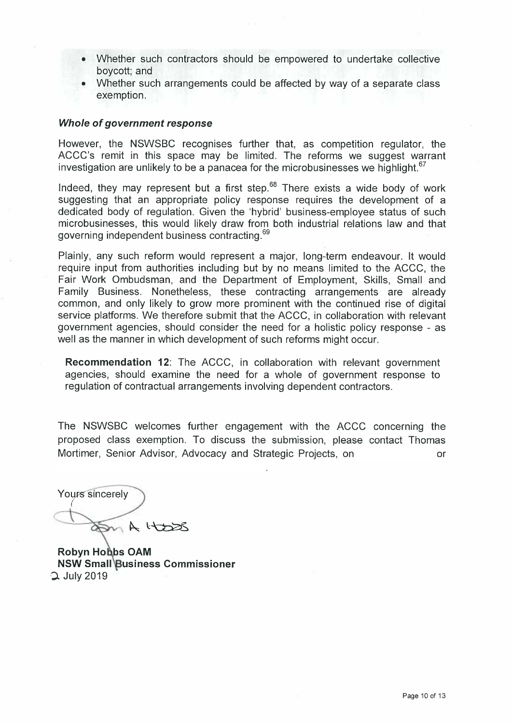- Whether such contractors should be empowered to undertake collective boycott; and
- Whether such arrangements could be affected by way of a separate class exemption.

## **Whole of government response**

However, the NSWSBC recognises further that, as competition regulator, the ACCC's remit in this space may be limited. The reforms we suggest warrant investigation are unlikely to be a panacea for the microbusinesses we highlight. $67$ 

Indeed, they may represent but a first step. $68$  There exists a wide body of work suggesting that an appropriate policy response requires the development of a dedicated body of regulation. Given the 'hybrid' business-employee status of such microbusinesses, this would likely draw from both industrial relations law and that governing independent business contracting.<sup>69</sup>

Plainly, any such reform would represent a major, long-term endeavour. It would require input from authorities including but by no means limited to the ACCC, the Fair Work Ombudsman, and the Department of Employment, Skills, Small and Family Business. Nonetheless, these contracting arrangements are already common, and only likely to grow more prominent with the continued rise of digital service platforms. We therefore submit that the ACCC, in collaboration with relevant government agencies, should consider the need for a holistic policy response - as well as the manner in which development of such reforms might occur.

**Recommendation 12:** The ACCC, in collaboration with relevant government agencies, should examine the need for a whole of government response to regulation of contractual arrangements involving dependent contractors.

The NSWSBC welcomes further engagement with the ACCC concerning the proposed class exemption. To discuss the submission, please contact Thomas Mortimer, Senior Advisor, Advocacy and Strategic Projects, on or

.

Yours sincerely (  $A$ HOSR

**Robyn Ho bs OAM NSW Small Business Commissioner** D. July 2019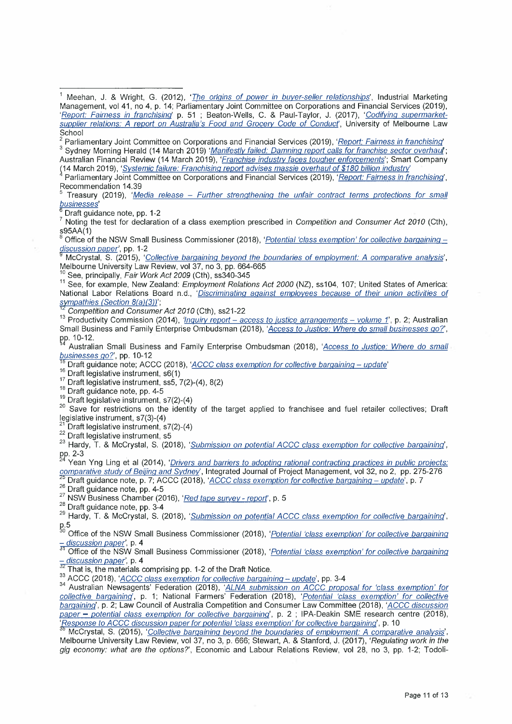Parliamentary Joint Committee on Corporations and Financial Services (2019), 'Report: Fairness in franchising' Sydney Morning Herald (14 March 2019) 'Manifestly failed: Damning report calls for franchise sector overhaul; Australian Financial Review (14 March 2019), 'Franchise industry faces tougher enforcements'; Smart Company

(14 March 2019), 'Systemic failure: Franchising report advises massie overhaul of \$180 billion industry

4Parliamentary Joint Committee on Corporations and Financial Services (2019), 'Report: Fairness in franchising', Recommendation 14.39

Treasury (2019), 'Media release - Further strengthening the unfair contract terms protections for small businesses'

Draft guidance note, pp. 1-2

 $\frac{7}{7}$  Noting the test for declaration of a class exemption prescribed in Competition and Consumer Act 2010 (Cth),  $$95AA(1)$ 

Office of the NSW Small Business Commissioner (2018), 'Potential 'class exemption' for collective bargaining discussion paper', pp. 1-2

McCrystal, S. (2015), 'Collective bargaining beyond the boundaries of employment: A comparative analysis', Melbourne University Law Review, vol 37, no 3, pp. 664-665

 $\frac{19}{2}$  See, principally, Fair Work Act 2009 (Cth), ss340-345

11 See, for example, New Zealand: *Employment Relations Act 2000* (NZ), ss104, 107; United States of America: National Labor Relations Board n.d., 'Discriminating against employees because of their union activities of sympathies (Section 8(a)(3))';

Competition and Consumer Act 2010 (Cth), ss21-22

<sup>13</sup> Productivity Commission (2014), *'<u>Inquiry report – access to justice arrangements – volume 1*', p. 2; Australian</u> Small Business and Family Enterprise Ombudsman (2018), 'Access to Justice: Where do small businesses go?', pp. 10-12.

Australian Small Business and Family Enterprise Ombudsman (2018), 'Access to Justice: Where do small businesses go?', pp. 10-12

Draft guidance note; ACCC (2018), 'ACCC class exemption for collective bargaining - update'

<sup>16</sup> Draft legislative instrument, s6(1)

 $17$  Draft legislative instrument, ss5, 7(2)-(4), 8(2)

18 Draft guidance note, pp. 4-5

 $19$  Draft legislative instrument, s7(2)-(4)

<sup>20</sup> Save for restrictions on the identity of the target applied to franchisee and fuel retailer collectives; Draft legislative instrument, s7(3)-(4)

Draft legislative instrument, s7(2)-(4)

22 Draft legislative instrument, s5

<sup>23</sup> Hardy, T. & McCrystal, S. (2018), 'Submission on potential ACCC class exemption for collective bargaining', pp. 2-3

Yean Yng Ling et al (2014), 'Drivers and barriers to adopting rational contracting practices in public projects: comparative study of Beijing and Sydney', Integrated Journal of Project Management, vol 32, no 2, pp. 275-276

Draft guidance note, p. 7; ACCC (2018), 'ACCC class exemption for collective bargaining - update', p. 7

<sup>26</sup> Draft guidance note, pp. 4-5

 $27$  NSW Business Chamber (2016), 'Red tape survey - report', p. 5

<sup>28</sup> Draft quidance note, pp. 3-4

<sup>29</sup> Hardy, T. & McCrystal, S. (2018), '*Submission on potential ACCC class exemption for collective bargaining*',

<sup>5.5</sup> Office of the NSW Small Business Commissioner (2018), '*Potential 'class exemption' for collective bargaining* - discussion paper', p. 4

 $\frac{3}{31}$  Office of the NSW Small Business Commissioner (2018), '*Potential 'class exemption' for collective bargaining* discussion paper', p. 4

 $\frac{32}{32}$  That is, the materials comprising pp. 1-2 of the Draft Notice.

<sup>33</sup> ACCC (2018), '<u>ACCC class exemption for collective bargaining -- update'</u>, pp. 3-4

<sup>34</sup>Australian Newsagents' Federation (2018), 'ALNA submission on ACCC proposal for 'class exemption' for collective bargaining', p. 1; National Farmers' Federation (2018), 'Potential 'class exemption' for collective bargaining', p. 2; Law Council of Australia Competition and Consumer Law Committee (2018), 'ACCC discussion paper - potential class exemption for collective bargaining', p. 2 ; IPA-Deakin SME research centre (2018), 'Response to ACCC discussion paper for potential 'class exemption' for collective bargaining', p. 10

McCrystal, S. (2015), 'Collective bargaining beyond the boundaries of employment: A comparative analysis', Melbourne University Law Review, vol 37, no 3, p. 666; Stewart, A. & Stanford, J. (2017), 'Regulating work in the gig economy: what are the options?', Economic and Labour Relations Review, vol 28, no 3, pp. 1-2; Todoli-

<sup>&</sup>lt;sup>1</sup> Meehan, J. & Wright, G. (2012), '*The origins of power in buyer-seller relationships*', Industrial Marketing Management, vol 41, no 4, p. 14; Parliamentary Joint Committee on Corporations and Financial Services (2019), 'Report: Fairness in franchising' p. 51 ; Beaton-Wells, C. & Paul-Taylor, J. (2017), 'Codifying supermarketsupplier relations: A report on Australia's Food and Grocery Code of Conduct', University of Melbourne Law School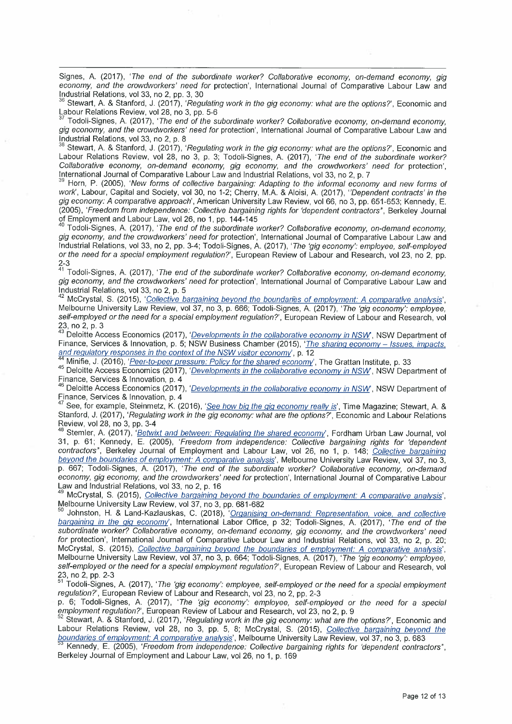Signes, A. (2017), 'The end of the subordinate worker? Collaborative economy, on-demand economy, gig economy, and the crowdworkers' need for protection', International Journal of Comparative Labour Law and Industrial Relations, vol 33, no 2, pp. 3, 30

Stewart, A. & Stanford, J. (2017), 'Regulating work in the gig economy: what are the options?', Economic and Labour Relations Review, vol 28, no 3, pp. 5-6

Todoli-Signes, A. (2017), 'The end of the subordinate worker? Collaborative economy, on-demand economy gig economy, and the crowdworkers' need for protection', International Journal of Comparative Labour Law and Industrial Relations, vol 33, no 2, p. 8

38 Stewart, A. & Stanford, J. (2017), 'Regulating work in the gig economy: what are the options?', Economic and Labour Relations Review, vol 28, no 3, p. 3; Todoli-Signes, A. (2017), 'The end of the subordinate worker? Collaborative economy, on-demand economy, gig economy, and the crowdworkers' need for protection', International Journal of Comparative Labour Law and Industrial Relations, vol 33, no 2, p. 7

Horn, P. (2005), 'New forms of collective bargaining: Adapting to the informal economy and new forms of work', Labour, Capital and Society, vol 30, no 1-2; Cherry, M.A. & Aloisi, A. (2017), "Dependent contracts' in the gig economy: A comparative approach', American University Law Review, vol 66, no 3, pp. 651-653; Kennedy, E. (2005), 'Freedom from independence: Collective bargaining rights for 'dependent contractors", Berkeley Journal of Employment and Labour Law, vol 26, no 1, pp. 144-145

Todoli-Signes, A. (2017), 'The end of the subordinate worker? Collaborative economy, on-demand economy, gig economy, and the crowdworkers' need for protection', International Journal of Comparative Labour Law and Industrial Relations, vol 33, no 2, pp. 3-4; Todoli-Signes, A. (2017), The 'gig economy': employee, self-employed or the need for a special employment regulation?', European Review of Labour and Research, vol 23, no 2, pp. 2-3

<sup>41</sup> Todoli-Signes, A. (2017), 'The end of the subordinate worker? Collaborative economy, on-demand economy, gig economy, and the crowdworkers' need for protection', International Journal of Comparative Labour Law and Industrial Relations, vol 33, no 2, p. 5

McCrystal, S. (2015), 'Collective bargaining beyond the boundaries of employment: A comparative analysis', Melbourne University Law Review, vol 37, no 3, p. 666; Todoli-Signes, A. (2017), 'The 'gig economy': employee, self-employed or the need for a special employment regulation?', European Review of Labour and Research, vol 23, no 2, p. 3

Deloitte Access Economics (2017), 'Developments in the collaborative economy in NSW, NSW Department of Finance, Services & Innovation, p. 5; NSW Business Chamber (2015), 'The sharing economy - Issues, impacts, and regulatory responses in the context of the NSW visitor economy', p. 12

Minifie, J. (2016), 'Peer-to-peer pressure: Policy for the shared economy', The Grattan Institute, p. 33

45 Deloitte Access Economics (2017), 'Developments in the collaborative economy in NSW, NSW Department of Finance, Services & Innovation, p. 4

Deloitte Access Economics (2017), 'Developments in the collaborative economy in NSW, NSW Department of Finance, Services & Innovation, p. 4

See, for example, Steinmetz, K. (2016), 'See how big the gig economy really is', Time Magazine; Stewart, A. & Stanford, J. (2017), 'Regulating work in the gig economy: what are the options?', Economic and Labour Relations Review, vol 28, no 3, pp. 3-4

<sup>48</sup> Stemler, A. (2017), '*Betwixt and between: Regulating the shared economy*', Fordham Urban Law Journal, vol 31, p. 61; Kennedy, E. (2005), 'Freedom from independence: Collective bargaining rights for 'dependent contractors", Berkeley Journal of Employment and Labour Law, vol 26, no 1, p. 148; Collective bargaining beyond the boundaries of employment: A comparative analysis', Melbourne University Law Review, vol 37, no 3, p. 667; Todoli-Signes, A. (2017), 'The end of the subordinate worker? Collaborative economy, on-demand economy, gig economy, and the crowdworkers' need for protection', International Journal of Comparative Labour Law and Industrial Relations, vol 33, no 2, p. 16

McCrystal, S. (2015), Collective bargaining beyond the boundaries of employment: A comparative analysis', Melbourne University Law Review, vol 37, no 3, pp. 681-682

Johnston, H. & Land-Kazlauskas, C. (2018), 'Organising on-demand: Representation, voice, and collective bargaining in the gig economy', International Labor Office, p 32; Todoli-Signes, A. (2017), 'The end of the subordinate worker? Collaborative economy, on-demand economy, gig economy, and the crowdworkers' need for protection', International Journal of Comparative Labour Law and Industrial Relations, vol 33, no 2, p. 20; McCrystal, S. (2015), Collective bargaining beyond the boundaries of employment: A comparative analysis', Melbourne University Law Review, vol 37, no 3, p. 664; Todoli-Signes, A. (2017), 'The 'gig economy': employee, self-employed or the need for a special employment regulation?', European Review of Labour and Research, vol 23, no 2, pp. 2-3

Todoli-Signes, A. (2017), 'The 'gig economy': employee, self-employed or the need for a special employment regulation?', European Review of Labour and Research, vol 23, no 2, pp. 2-3

p. 6; Todoli-Signes, A. (2017), 'The 'gig economy': employee, self-employed or the need for a special employment regulation?', European Review of Labour and Research, vol 23, no 2, p. 9

Stewart, A. & Stanford, J. (2017), 'Regulating work in the gig economy: what are the options?', Economic and Labour Relations Review, vol 28, no 3, pp. 5, 8; McCrystal, S. (2015), Collective bargaining beyond the boundaries of employment: A comparative analysis', Melbourne University Law Review, vol 37, no 3, p. 683

b.3 Kennedy, E. (2005), 'Freedom from independence: Collective bargaining rights for 'dependent contractors", Berkeley Journal of Employment and Labour Law, vol 26, no 1, p. 169